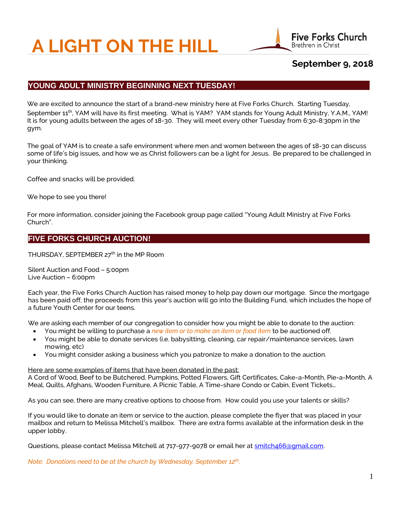# **A LIGHT ON THE HILL**



# **September 9, 2018**

## **YOUNG ADULT MINISTRY BEGINNING NEXT TUESDAY!**

We are excited to announce the start of a brand-new ministry here at Five Forks Church. Starting Tuesday, September 11<sup>th</sup>, YAM will have its first meeting. What is YAM? YAM stands for Young Adult Ministry, Y.A.M., YAM! It is for young adults between the ages of 18-30. They will meet every other Tuesday from 6:30-8:30pm in the gym.

The goal of YAM is to create a safe environment where men and women between the ages of 18-30 can discuss some of life's big issues, and how we as Christ followers can be a light for Jesus. Be prepared to be challenged in your thinking.

Coffee and snacks will be provided.

We hope to see you there!

For more information, consider joining the Facebook group page called "Young Adult Ministry at Five Forks Church".

## **FIVE FORKS CHURCH AUCTION!**

THURSDAY, SEPTEMBER 27<sup>th</sup> in the MP Room

Silent Auction and Food – 5:00pm Live Auction – 6:00pm

Each year, the Five Forks Church Auction has raised money to help pay down our mortgage. Since the mortgage has been paid off, the proceeds from this year's auction will go into the Building Fund, which includes the hope of a future Youth Center for our teens.

We are asking each member of our congregation to consider how you might be able to donate to the auction:

- You might be willing to purchase a *new item or to make an item or food item* to be auctioned off.
- You might be able to donate services (i.e. babysitting, cleaning, car repair/maintenance services, lawn mowing, etc)
- You might consider asking a business which you patronize to make a donation to the auction.

#### Here are some examples of items that have been donated in the past:

A Cord of Wood, Beef to be Butchered, Pumpkins, Potted Flowers, Gift Certificates, Cake-a-Month, Pie-a-Month, A Meal, Quilts, Afghans, Wooden Furniture, A Picnic Table, A Time-share Condo or Cabin, Event Tickets…

As you can see, there are many creative options to choose from. How could you use your talents or skills?

If you would like to donate an item or service to the auction, please complete the flyer that was placed in your mailbox and return to Melissa Mitchell's mailbox. There are extra forms available at the information desk in the upper lobby.

Questions, please contact Melissa Mitchell at 717-977-9078 or email her a[t smitch466@gmail.com.](mailto:smitch466@gmail.com)

*Note: Donations need to be at the church by Wednesday, September 12th .*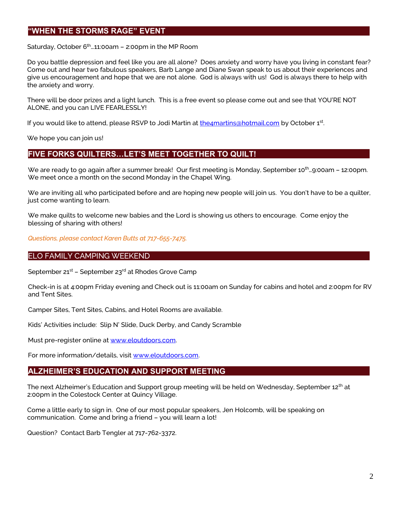## **"WHEN THE STORMS RAGE" EVENT**

Saturday, October  $6<sup>th</sup>$  11:00am – 2:00pm in the MP Room

Do you battle depression and feel like you are all alone? Does anxiety and worry have you living in constant fear? Come out and hear two fabulous speakers, Barb Lange and Diane Swan speak to us about their experiences and give us encouragement and hope that we are not alone. God is always with us! God is always there to help with the anxiety and worry.

There will be door prizes and a light lunch. This is a free event so please come out and see that YOU'RE NOT ALONE, and you can LIVE FEARLESSLY!

If you would like to attend, please RSVP to Jodi Martin at <u>the4martins@hotmail.com</u> by October 1<sup>st</sup>.

We hope you can join us!

#### **FIVE FORKS QUILTERS…LET'S MEET TOGETHER TO QUILT!**

We are ready to go again after a summer break! Our first meeting is Monday, September 10<sup>th</sup>...9:00am – 12:00pm. We meet once a month on the second Monday in the Chapel Wing.

We are inviting all who participated before and are hoping new people will join us. You don't have to be a quilter, just come wanting to learn.

We make quilts to welcome new babies and the Lord is showing us others to encourage. Come enjoy the blessing of sharing with others!

*Questions, please contact Karen Butts at 717-655-7475.*

#### ELO FAMILY CAMPING WEEKEND

September 21<sup>st</sup> – September 23<sup>rd</sup> at Rhodes Grove Camp

Check-in is at 4:00pm Friday evening and Check out is 11:00am on Sunday for cabins and hotel and 2:00pm for RV and Tent Sites.

Camper Sites, Tent Sites, Cabins, and Hotel Rooms are available.

Kids' Activities include: Slip N' Slide, Duck Derby, and Candy Scramble

Must pre-register online at [www.eloutdoors.com.](http://www.eloutdoors.com/)

For more information/details, visit [www.eloutdoors.com.](http://www.eloutdoors.com/)

## **ALZHEIMER'S EDUCATION AND SUPPORT MEETING**

The next Alzheimer's Education and Support group meeting will be held on Wednesday, September 12<sup>th</sup> at 2:00pm in the Colestock Center at Quincy Village.

Come a little early to sign in. One of our most popular speakers, Jen Holcomb, will be speaking on communication. Come and bring a friend – you will learn a lot!

Question? Contact Barb Tengler at 717-762-3372.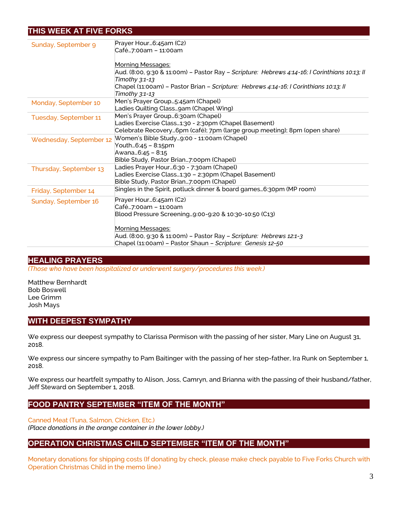## **THIS WEEK AT FIVE FORKS**

| Sunday, September 9     | Prayer Hour6:45am (C2)                                                                        |
|-------------------------|-----------------------------------------------------------------------------------------------|
|                         | Café7:00am - 11:00am                                                                          |
|                         |                                                                                               |
|                         | Morning Messages:                                                                             |
|                         | Aud. (8:00, 9:30 & 11:00m) - Pastor Ray - Scripture: Hebrews 4:14-16; I Corinthians 10:13; II |
|                         | Timothy 3:1-13                                                                                |
|                         | Chapel (11:00am) - Pastor Brian - Scripture: Hebrews 4:14-16; I Corinthians 10:13; II         |
|                         | Timothy 3:1-13                                                                                |
| Monday, September 10    | Men's Prayer Group5:45am (Chapel)                                                             |
|                         | Ladies Quilting Classgam (Chapel Wing)                                                        |
| Tuesday, September 11   | Men's Prayer Group6:30am (Chapel)                                                             |
|                         | Ladies Exercise Class1:30 - 2:30pm (Chapel Basement)                                          |
|                         | Celebrate Recovery6pm (café); 7pm (large group meeting); 8pm (open share)                     |
| Wednesday, September 12 | Women's Bible Study9:00 - 11:00am (Chapel)                                                    |
|                         | Youth6:45 - 8:15pm                                                                            |
|                         | Awana6:45 - 8:15                                                                              |
|                         | Bible Study, Pastor Brian7:00pm (Chapel)                                                      |
| Thursday, September 13  | Ladies Prayer Hour6:30 - 7:30am (Chapel)                                                      |
|                         | Ladies Exercise Class1:30 - 2:30pm (Chapel Basement)                                          |
|                         | Bible Study, Pastor Brian7:00pm (Chapel)                                                      |
| Friday, September 14    | Singles in the Spirit, potluck dinner & board games6:30pm (MP room)                           |
| Sunday, September 16    | Prayer Hour6:45am (C2)                                                                        |
|                         | Café7:00am – 11:00am                                                                          |
|                         | Blood Pressure Screening9:00-9:20 & 10:30-10:50 (C13)                                         |
|                         |                                                                                               |
|                         | <b>Morning Messages:</b>                                                                      |
|                         | Aud. (8:00, 9:30 & 11:00m) - Pastor Ray - Scripture: Hebrews 12:1-3                           |
|                         | Chapel (11:00am) - Pastor Shaun - Scripture: Genesis 12-50                                    |

## **HEALING PRAYERS**

*(Those who have been hospitalized or underwent surgery/procedures this week.)*

Matthew Bernhardt Bob Boswell Lee Grimm Josh Mays

## **WITH DEEPEST SYMPATHY**

We express our deepest sympathy to Clarissa Permison with the passing of her sister, Mary Line on August 31, 2018.

We express our sincere sympathy to Pam Baitinger with the passing of her step-father, Ira Runk on September 1, 2018.

We express our heartfelt sympathy to Alison, Joss, Camryn, and Brianna with the passing of their husband/father, Jeff Steward on September 1, 2018.

## **FOOD PANTRY SEPTEMBER "ITEM OF THE MONTH"**

Canned Meat (Tuna, Salmon, Chicken, Etc.) *(Place donations in the orange container in the lower lobby.)*

## **OPERATION CHRISTMAS CHILD SEPTEMBER "ITEM OF THE MONTH"**

Monetary donations for shipping costs (If donating by check, please make check payable to Five Forks Church with Operation Christmas Child in the memo line.)